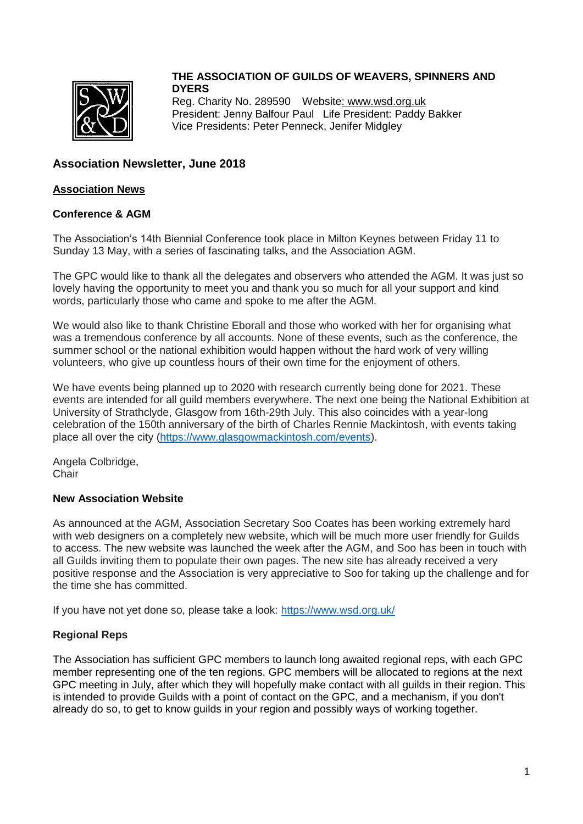

# **THE ASSOCIATION OF GUILDS OF WEAVERS, SPINNERS AND DYERS**

Reg. Charity No. 289590 Websit[e: www.wsd.org.uk](http://www.wsd.org.uk/) President: Jenny Balfour Paul Life President: Paddy Bakker Vice Presidents: Peter Penneck, Jenifer Midgley

# **Association Newsletter, June 2018**

#### **Association News**

#### **Conference & AGM**

The Association's 14th Biennial Conference took place in Milton Keynes between Friday 11 to Sunday 13 May, with a series of fascinating talks, and the Association AGM.

The GPC would like to thank all the delegates and observers who attended the AGM. It was just so lovely having the opportunity to meet you and thank you so much for all your support and kind words, particularly those who came and spoke to me after the AGM.

We would also like to thank Christine Eborall and those who worked with her for organising what was a tremendous conference by all accounts. None of these events, such as the conference, the summer school or the national exhibition would happen without the hard work of very willing volunteers, who give up countless hours of their own time for the enjoyment of others.

We have events being planned up to 2020 with research currently being done for 2021. These events are intended for all guild members everywhere. The next one being the National Exhibition at University of Strathclyde, Glasgow from 16th-29th July. This also coincides with a year-long celebration of the 150th anniversary of the birth of Charles Rennie Mackintosh, with events taking place all over the city [\(https://www.glasgowmackintosh.com/events\)](https://www.glasgowmackintosh.com/events).

Angela Colbridge, **Chair** 

# **New Association Website**

As announced at the AGM, Association Secretary Soo Coates has been working extremely hard with web designers on a completely new website, which will be much more user friendly for Guilds to access. The new website was launched the week after the AGM, and Soo has been in touch with all Guilds inviting them to populate their own pages. The new site has already received a very positive response and the Association is very appreciative to Soo for taking up the challenge and for the time she has committed.

If you have not yet done so, please take a look:<https://www.wsd.org.uk/>

# **Regional Reps**

The Association has sufficient GPC members to launch long awaited regional reps, with each GPC member representing one of the ten regions. GPC members will be allocated to regions at the next GPC meeting in July, after which they will hopefully make contact with all guilds in their region. This is intended to provide Guilds with a point of contact on the GPC, and a mechanism, if you don't already do so, to get to know guilds in your region and possibly ways of working together.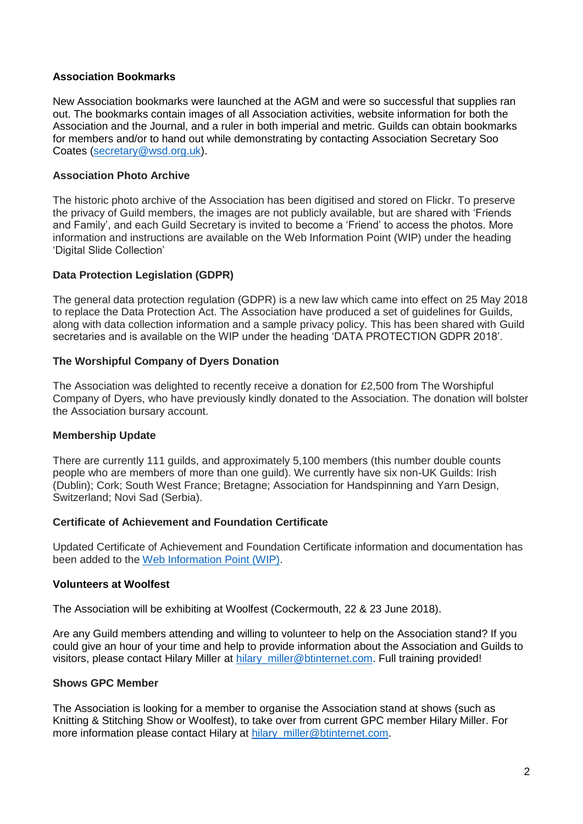#### **Association Bookmarks**

New Association bookmarks were launched at the AGM and were so successful that supplies ran out. The bookmarks contain images of all Association activities, website information for both the Association and the Journal, and a ruler in both imperial and metric. Guilds can obtain bookmarks for members and/or to hand out while demonstrating by contacting Association Secretary Soo Coates [\(secretary@wsd.org.uk\)](mailto:secretary@wsd.org.uk).

#### **Association Photo Archive**

The historic photo archive of the Association has been digitised and stored on Flickr. To preserve the privacy of Guild members, the images are not publicly available, but are shared with 'Friends and Family', and each Guild Secretary is invited to become a 'Friend' to access the photos. More information and instructions are available on the Web Information Point (WIP) under the heading 'Digital Slide Collection'

#### **Data Protection Legislation (GDPR)**

The general data protection regulation (GDPR) is a new law which came into effect on 25 May 2018 to replace the Data Protection Act. The Association have produced a set of guidelines for Guilds, along with data collection information and a sample privacy policy. This has been shared with Guild secretaries and is available on the WIP under the heading 'DATA PROTECTION GDPR 2018'.

#### **The Worshipful Company of Dyers Donation**

The Association was delighted to recently receive a donation for £2,500 from The Worshipful Company of Dyers, who have previously kindly donated to the Association. The donation will bolster the Association bursary account.

#### **Membership Update**

There are currently 111 guilds, and approximately 5,100 members (this number double counts people who are members of more than one guild). We currently have six non-UK Guilds: Irish (Dublin); Cork; South West France; Bretagne; Association for Handspinning and Yarn Design, Switzerland; Novi Sad (Serbia).

#### **Certificate of Achievement and Foundation Certificate**

Updated Certificate of Achievement and Foundation Certificate information and documentation has been added to the [Web Information Point \(WIP\).](http://aswd.pbworks.com/)

#### **Volunteers at Woolfest**

The Association will be exhibiting at Woolfest (Cockermouth, 22 & 23 June 2018).

Are any Guild members attending and willing to volunteer to help on the Association stand? If you could give an hour of your time and help to provide information about the Association and Guilds to visitors, please contact Hilary Miller at hilary miller@btinternet.com. Full training provided!

#### **Shows GPC Member**

The Association is looking for a member to organise the Association stand at shows (such as Knitting & Stitching Show or Woolfest), to take over from current GPC member Hilary Miller. For more information please contact Hilary at [hilary\\_miller@btinternet.com.](mailto:hilary_miller@btinternet.com)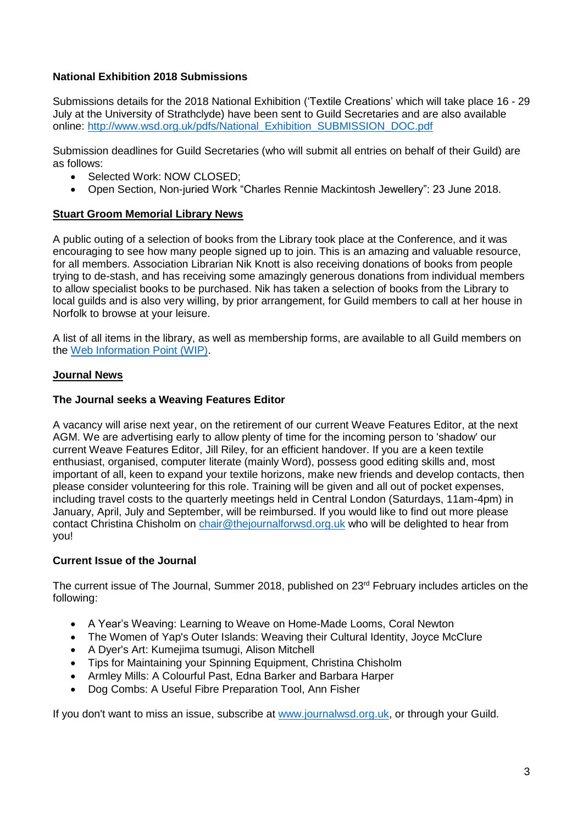# **National Exhibition 2018 Submissions**

Submissions details for the 2018 National Exhibition ('Textile Creations' which will take place 16 - 29 July at the University of Strathclyde) have been sent to Guild Secretaries and are also available online: [http://www.wsd.org.uk/pdfs/National\\_Exhibition\\_SUBMISSION\\_DOC.pdf](http://www.wsd.org.uk/pdfs/National_Exhibition_SUBMISSION_DOC.pdf)

Submission deadlines for Guild Secretaries (who will submit all entries on behalf of their Guild) are as follows:

- Selected Work: NOW CLOSED;
- Open Section, Non-juried Work "Charles Rennie Mackintosh Jewellery": 23 June 2018.

#### **Stuart Groom Memorial Library News**

A public outing of a selection of books from the Library took place at the Conference, and it was encouraging to see how many people signed up to join. This is an amazing and valuable resource, for all members. Association Librarian Nik Knott is also receiving donations of books from people trying to de-stash, and has receiving some amazingly generous donations from individual members to allow specialist books to be purchased. Nik has taken a selection of books from the Library to local guilds and is also very willing, by prior arrangement, for Guild members to call at her house in Norfolk to browse at your leisure.

A list of all items in the library, as well as membership forms, are available to all Guild members on the [Web Information Point \(WIP\).](http://aswd.pbworks.com/)

#### **Journal News**

#### **The Journal seeks a Weaving Features Editor**

A vacancy will arise next year, on the retirement of our current Weave Features Editor, at the next AGM. We are advertising early to allow plenty of time for the incoming person to 'shadow' our current Weave Features Editor, Jill Riley, for an efficient handover. If you are a keen textile enthusiast, organised, computer literate (mainly Word), possess good editing skills and, most important of all, keen to expand your textile horizons, make new friends and develop contacts, then please consider volunteering for this role. Training will be given and all out of pocket expenses, including travel costs to the quarterly meetings held in Central London (Saturdays, 11am-4pm) in January, April, July and September, will be reimbursed. If you would like to find out more please contact Christina Chisholm on [chair@thejournalforwsd.org.uk](mailto:chair@thejournalforwsd.org.uk) who will be delighted to hear from you!

#### **Current Issue of the Journal**

The current issue of The Journal, Summer 2018, published on 23rd February includes articles on the following:

- A Year's Weaving: Learning to Weave on Home-Made Looms, Coral Newton
- The Women of Yap's Outer Islands: Weaving their Cultural Identity, Joyce McClure
- A Dyer's Art: Kumejima tsumugi, Alison Mitchell
- Tips for Maintaining your Spinning Equipment, Christina Chisholm
- Armley Mills: A Colourful Past, Edna Barker and Barbara Harper
- Dog Combs: A Useful Fibre Preparation Tool, Ann Fisher

If you don't want to miss an issue, subscribe at [www.journalwsd.org.uk,](http://www.journalwsd.org.uk/) or through your Guild.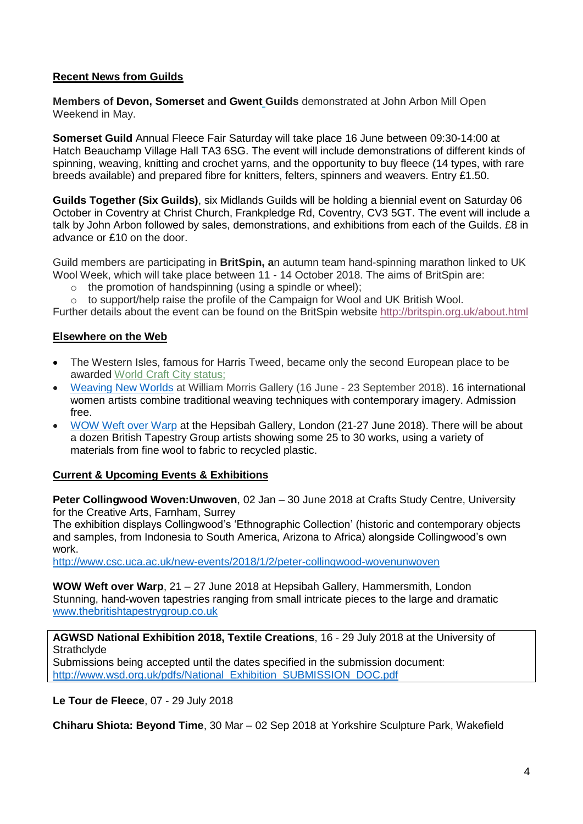# **Recent News from Guilds**

**Members of Devon, Somerset and Gwent Guilds** demonstrated at John Arbon Mill Open Weekend in May.

**Somerset Guild** Annual Fleece Fair Saturday will take place 16 June between 09:30-14:00 at Hatch Beauchamp Village Hall TA3 6SG. The event will include demonstrations of different kinds of spinning, weaving, knitting and crochet yarns, and the opportunity to buy fleece (14 types, with rare breeds available) and prepared fibre for knitters, felters, spinners and weavers. Entry £1.50.

**Guilds Together (Six Guilds)**, six Midlands Guilds will be holding a biennial event on Saturday 06 October in Coventry at Christ Church, Frankpledge Rd, Coventry, CV3 5GT. The event will include a talk by John Arbon followed by sales, demonstrations, and exhibitions from each of the Guilds. £8 in advance or £10 on the door.

Guild members are participating in **BritSpin, a**n autumn team hand-spinning marathon linked to UK Wool Week, which will take place between 11 - 14 October 2018. The aims of BritSpin are:

- $\circ$  the promotion of handspinning (using a spindle or wheel);
- $\circ$  to support/help raise the profile of the Campaign for Wool and UK British Wool.

Further details about the event can be found on the BritSpin website <http://britspin.org.uk/about.html>

#### **Elsewhere on the Web**

- The Western Isles, famous for Harris Tweed, became only the second European place to be awarded World Craft City [status;](https://craftscouncil.us7.list-manage.com/track/click?u=a47fc1f38d7b79f55813e2e48&id=848b74ea2c&e=aaec40c53a)
- [Weaving](•%09http:/www.wmgallery.org.uk/whats-on/exhibitions-43/weaving-new-worlds) New Worlds at William Morris Gallery (16 June 23 September 2018). 16 international women artists combine traditional weaving techniques with contemporary imagery. Admission free.
- WOW [Weft over Warp](http://www.thebritishtapestrygroup.co.uk/) at the Hepsibah Gallery, London (21-27 June 2018). There will be about a dozen British Tapestry Group artists showing some 25 to 30 works, using a variety of materials from fine wool to fabric to recycled plastic.

#### **Current & Upcoming Events & Exhibitions**

**Peter Collingwood Woven:Unwoven**, 02 Jan – 30 June 2018 at Crafts Study Centre, University for the Creative Arts, Farnham, Surrey

The exhibition displays Collingwood's 'Ethnographic Collection' (historic and contemporary objects and samples, from Indonesia to South America, Arizona to Africa) alongside Collingwood's own work.

<http://www.csc.uca.ac.uk/new-events/2018/1/2/peter-collingwood-wovenunwoven>

**WOW Weft over Warp**, 21 – 27 June 2018 at Hepsibah Gallery, Hammersmith, London Stunning, hand-woven tapestries ranging from small intricate pieces to the large and dramatic [www.thebritishtapestrygroup.co.uk](http://www.thebritishtapestrygroup.co.uk/)

**AGWSD National Exhibition 2018, Textile Creations**, 16 - 29 July 2018 at the University of **Strathclyde** 

Submissions being accepted until the dates specified in the submission document: [http://www.wsd.org.uk/pdfs/National\\_Exhibition\\_SUBMISSION\\_DOC.pdf](http://www.wsd.org.uk/pdfs/National_Exhibition_SUBMISSION_DOC.pdf)

**Le Tour de Fleece**, 07 - 29 July 2018

**Chiharu Shiota: Beyond Time**, 30 Mar – 02 Sep 2018 at Yorkshire Sculpture Park, Wakefield